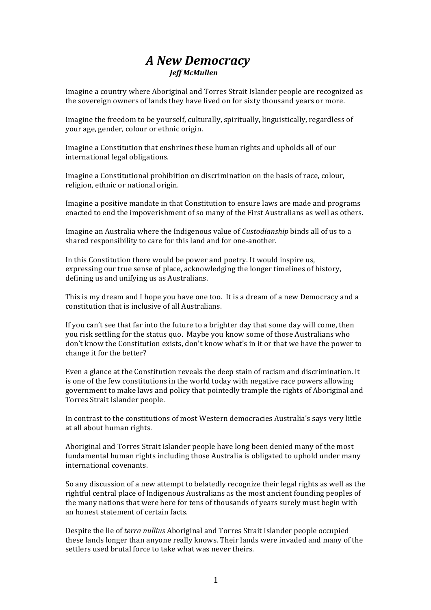## *!!!!!!!!!!!!!!!!!!!!!!!!!!!!A!New!Democracy Jeff!McMullen*

Imagine a country where Aboriginal and Torres Strait Islander people are recognized as the sovereign owners of lands they have lived on for sixty thousand years or more.

Imagine the freedom to be yourself, culturally, spiritually, linguistically, regardless of your age, gender, colour or ethnic origin.

Imagine a Constitution that enshrines these human rights and upholds all of our international legal obligations.

Imagine a Constitutional prohibition on discrimination on the basis of race, colour, religion, ethnic or national origin.

Imagine a positive mandate in that Constitution to ensure laws are made and programs enacted to end the impoverishment of so many of the First Australians as well as others.

Imagine an Australia where the Indigenous value of *Custodianship* binds all of us to a shared responsibility to care for this land and for one-another.

In this Constitution there would be power and poetry. It would inspire us, expressing our true sense of place, acknowledging the longer timelines of history, defining us and unifying us as Australians.

This is my dream and I hope you have one too. It is a dream of a new Democracy and a constitution that is inclusive of all Australians.

If you can't see that far into the future to a brighter day that some day will come, then you risk settling for the status quo. Maybe you know some of those Australians who don't know the Constitution exists, don't know what's in it or that we have the power to change it for the better?

Even a glance at the Constitution reveals the deep stain of racism and discrimination. It is one of the few constitutions in the world today with negative race powers allowing government to make laws and policy that pointedly trample the rights of Aboriginal and Torres Strait Islander people.

In contrast to the constitutions of most Western democracies Australia's says very little at all about human rights.

Aboriginal and Torres Strait Islander people have long been denied many of the most fundamental human rights including those Australia is obligated to uphold under many international covenants

So any discussion of a new attempt to belatedly recognize their legal rights as well as the rightful central place of Indigenous Australians as the most ancient founding peoples of the many nations that were here for tens of thousands of years surely must begin with an honest statement of certain facts.

Despite the lie of *terra nullius* Aboriginal and Torres Strait Islander people occupied these lands longer than anyone really knows. Their lands were invaded and many of the settlers used brutal force to take what was never theirs.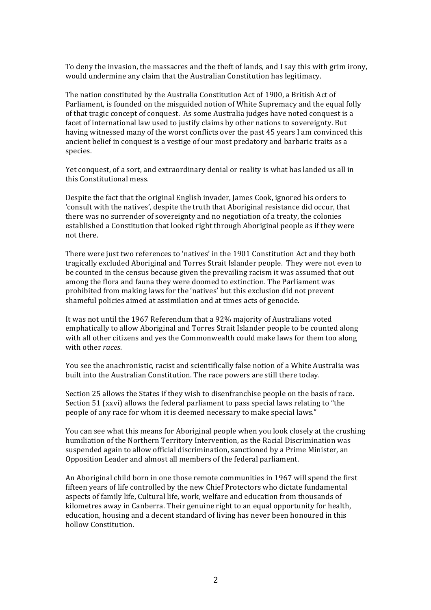To deny the invasion, the massacres and the theft of lands, and I say this with grim irony. would undermine any claim that the Australian Constitution has legitimacy.

The nation constituted by the Australia Constitution Act of 1900, a British Act of Parliament, is founded on the misguided notion of White Supremacy and the equal folly of that tragic concept of conquest. As some Australia judges have noted conquest is a facet of international law used to justify claims by other nations to sovereignty. But having witnessed many of the worst conflicts over the past 45 years I am convinced this ancient belief in conquest is a vestige of our most predatory and barbaric traits as a species.

Yet conquest, of a sort, and extraordinary denial or reality is what has landed us all in this Constitutional mess.

Despite the fact that the original English invader, James Cook, ignored his orders to 'consult with the natives', despite the truth that Aboriginal resistance did occur, that there was no surrender of sovereignty and no negotiation of a treaty, the colonies established a Constitution that looked right through Aboriginal people as if they were not there.

There were just two references to 'natives' in the 1901 Constitution Act and they both tragically excluded Aboriginal and Torres Strait Islander people. They were not even to be counted in the census because given the prevailing racism it was assumed that out among the flora and fauna they were doomed to extinction. The Parliament was prohibited from making laws for the 'natives' but this exclusion did not prevent shameful policies aimed at assimilation and at times acts of genocide.

It was not until the 1967 Referendum that a 92% majority of Australians voted emphatically to allow Aboriginal and Torres Strait Islander people to be counted along with all other citizens and ves the Commonwealth could make laws for them too along with other races.

You see the anachronistic, racist and scientifically false notion of a White Australia was built into the Australian Constitution. The race powers are still there today.

Section 25 allows the States if they wish to disenfranchise people on the basis of race. Section 51 (xxyi) allows the federal parliament to pass special laws relating to "the people of any race for whom it is deemed necessary to make special laws."

You can see what this means for Aboriginal people when you look closely at the crushing humiliation of the Northern Territory Intervention, as the Racial Discrimination was suspended again to allow official discrimination, sanctioned by a Prime Minister, an Opposition Leader and almost all members of the federal parliament.

An Aboriginal child born in one those remote communities in 1967 will spend the first fifteen years of life controlled by the new Chief Protectors who dictate fundamental aspects of family life, Cultural life, work, welfare and education from thousands of kilometres away in Canberra. Their genuine right to an equal opportunity for health, education, housing and a decent standard of living has never been honoured in this hollow Constitution.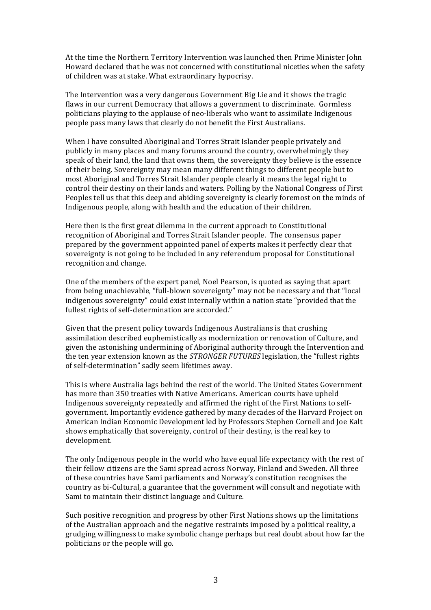At the time the Northern Territory Intervention was launched then Prime Minister John Howard declared that he was not concerned with constitutional niceties when the safety of children was at stake. What extraordinary hypocrisy.

The Intervention was a very dangerous Government Big Lie and it shows the tragic flaws in our current Democracy that allows a government to discriminate. Gormless politicians playing to the applause of neo-liberals who want to assimilate Indigenous people pass many laws that clearly do not benefit the First Australians.

When I have consulted Aboriginal and Torres Strait Islander people privately and publicly in many places and many forums around the country, overwhelmingly they speak of their land, the land that owns them, the sovereignty they believe is the essence of their being. Sovereignty may mean many different things to different people but to most Aboriginal and Torres Strait Islander people clearly it means the legal right to control their destiny on their lands and waters. Polling by the National Congress of First Peoples tell us that this deep and abiding sovereignty is clearly foremost on the minds of Indigenous people, along with health and the education of their children.

Here then is the first great dilemma in the current approach to Constitutional recognition of Aboriginal and Torres Strait Islander people. The consensus paper prepared by the government appointed panel of experts makes it perfectly clear that sovereignty is not going to be included in any referendum proposal for Constitutional recognition and change.

One of the members of the expert panel, Noel Pearson, is quoted as saying that apart from being unachievable, "full-blown sovereignty" may not be necessary and that "local" indigenous sovereignty" could exist internally within a nation state "provided that the fullest rights of self-determination are accorded."

Given that the present policy towards Indigenous Australians is that crushing assimilation described euphemistically as modernization or renovation of Culture, and given the astonishing undermining of Aboriginal authority through the Intervention and the ten year extension known as the *STRONGER FUTURES* legislation, the "fullest rights" of self-determination" sadly seem lifetimes away.

This is where Australia lags behind the rest of the world. The United States Government has more than 350 treaties with Native Americans. American courts have upheld Indigenous sovereignty repeatedly and affirmed the right of the First Nations to selfgovernment. Importantly evidence gathered by many decades of the Harvard Project on American Indian Economic Development led by Professors Stephen Cornell and Joe Kalt shows emphatically that sovereignty, control of their destiny, is the real key to development.

The only Indigenous people in the world who have equal life expectancy with the rest of their fellow citizens are the Sami spread across Norway, Finland and Sweden. All three of these countries have Sami parliaments and Norway's constitution recognises the country as bi-Cultural, a guarantee that the government will consult and negotiate with Sami to maintain their distinct language and Culture.

Such positive recognition and progress by other First Nations shows up the limitations of the Australian approach and the negative restraints imposed by a political reality, a grudging willingness to make symbolic change perhaps but real doubt about how far the politicians or the people will go.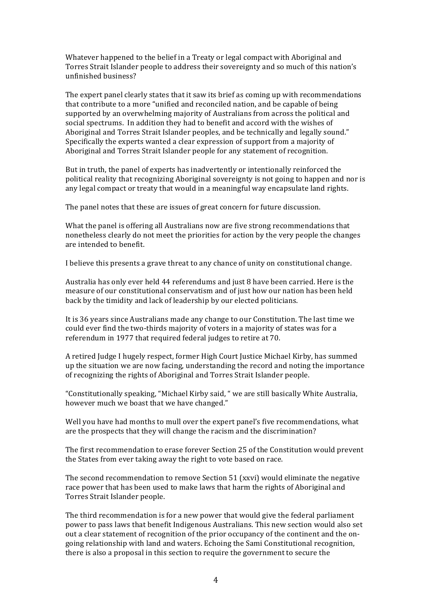Whatever happened to the belief in a Treaty or legal compact with Aboriginal and Torres Strait Islander people to address their sovereignty and so much of this nation's unfinished business?

The expert panel clearly states that it saw its brief as coming up with recommendations that contribute to a more "unified and reconciled nation, and be capable of being supported by an overwhelming majority of Australians from across the political and social spectrums. In addition they had to benefit and accord with the wishes of Aboriginal and Torres Strait Islander peoples, and be technically and legally sound." Specifically the experts wanted a clear expression of support from a majority of Aboriginal and Torres Strait Islander people for any statement of recognition.

But in truth, the panel of experts has inadvertently or intentionally reinforced the political reality that recognizing Aboriginal sovereignty is not going to happen and nor is any legal compact or treaty that would in a meaningful way encapsulate land rights.

The panel notes that these are issues of great concern for future discussion.

What the panel is offering all Australians now are five strong recommendations that nonetheless clearly do not meet the priorities for action by the very people the changes are intended to benefit.

I believe this presents a grave threat to any chance of unity on constitutional change.

Australia has only ever held 44 referendums and just 8 have been carried. Here is the measure of our constitutional conservatism and of just how our nation has been held back by the timidity and lack of leadership by our elected politicians.

It is 36 years since Australians made any change to our Constitution. The last time we could ever find the two-thirds majority of voters in a majority of states was for a referendum in 1977 that required federal judges to retire at 70.

A retired Judge I hugely respect, former High Court Justice Michael Kirby, has summed up the situation we are now facing, understanding the record and noting the importance of recognizing the rights of Aboriginal and Torres Strait Islander people.

"Constitutionally speaking, "Michael Kirby said, " we are still basically White Australia, however much we boast that we have changed."

Well you have had months to mull over the expert panel's five recommendations, what are the prospects that they will change the racism and the discrimination?

The first recommendation to erase forever Section 25 of the Constitution would prevent the States from ever taking away the right to vote based on race.

The second recommendation to remove Section 51 (xxvi) would eliminate the negative race power that has been used to make laws that harm the rights of Aboriginal and Torres Strait Islander people.

The third recommendation is for a new power that would give the federal parliament power to pass laws that benefit Indigenous Australians. This new section would also set out a clear statement of recognition of the prior occupancy of the continent and the ongoing relationship with land and waters. Echoing the Sami Constitutional recognition, there is also a proposal in this section to require the government to secure the